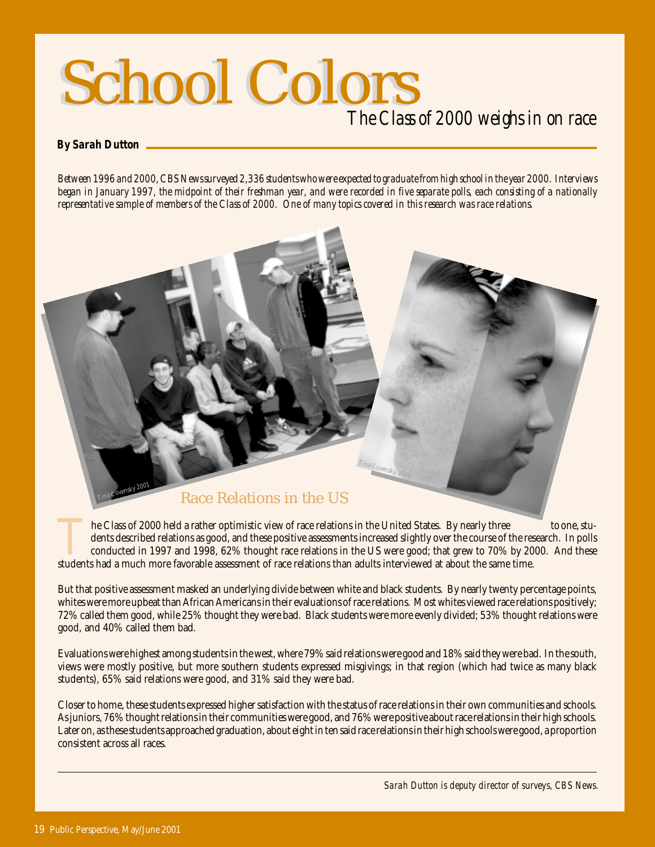# School Colors School Colors *The Class of 2000 weighs in on race*

#### *By Sarah Dutton*

*Between 1996 and 2000, CBS News surveyed 2,336 students who were expected to graduate from high school in the year 2000. Interviews began in January 1997, the midpoint of their freshman year, and were recorded in five separate polls, each consisting of a nationally representative sample of members of the Class of 2000. One of many topics covered in this research was race relations.*



The Class of 2000 held a rather optimistic view of race relations in the United States. By nearly three to one, students described relations as good, and these positive assessments increased slightly over the course of the dents described relations as good, and these positive assessments increased slightly over the course of the research. In polls conducted in 1997 and 1998, 62% thought race relations in the US were good; that grew to 70% by 2000. And these students had a much more favorable assessment of race relations than adults interviewed at about the same time.

But that positive assessment masked an underlying divide between white and black students. By nearly twenty percentage points, whites were more upbeat than African Americans in their evaluations of race relations. Most whites viewed race relations positively; 72% called them good, while 25% thought they were bad. Black students were more evenly divided; 53% thought relations were good, and 40% called them bad.

Evaluations were highest among students in the west, where 79% said relations were good and 18% said they were bad. In the south, views were mostly positive, but more southern students expressed misgivings; in that region (which had twice as many black students), 65% said relations were good, and 31% said they were bad.

Closer to home, these students expressed higher satisfaction with the status of race relations in their own communities and schools. As juniors, 76% thought relations in their communities were good, and 76% were positive about race relations in their high schools. Later on, as these students approached graduation, about eight in ten said race relations in their high schools were good, a proportion consistent across all races.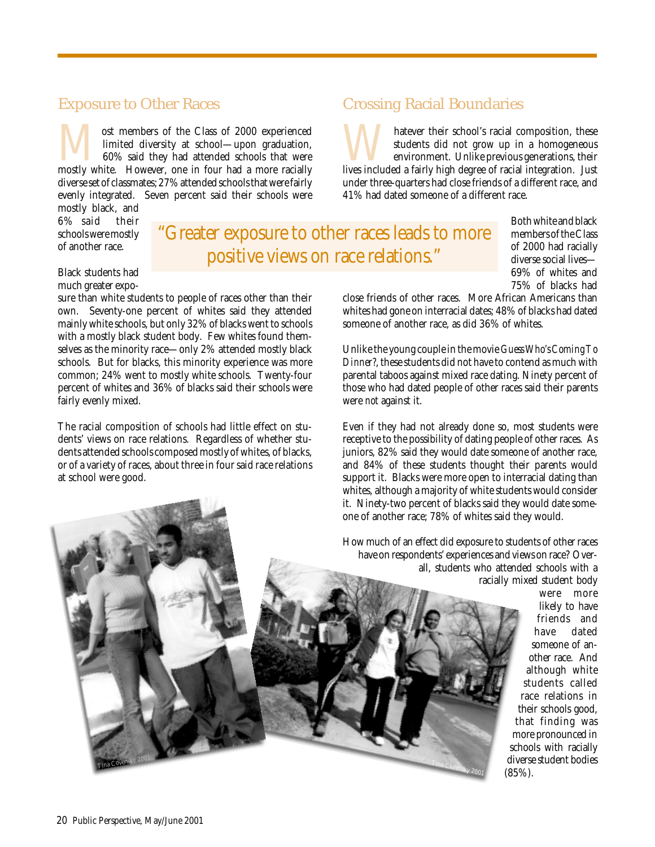### Exposure to Other Races

Most members of the Class of 2000 experienced<br>
limited diversity at school—upon graduation,<br>
60% said they had attended schools that were<br>
mostly white. However, one in four had a more racially limited diversity at school—upon graduation, 60% said they had attended schools that were diverse set of classmates; 27% attended schools that were fairly evenly integrated. Seven percent said their schools were

mostly black, and 6% said their schools were mostly of another race.

## "Greater exposure to other races leads to more positive views on race relations."

Both white and black members of the Class of 2000 had racially diverse social lives— 69% of whites and 75% of blacks had

close friends of other races. More African Americans than whites had gone on interracial dates; 48% of blacks had dated someone of another race, as did 36% of whites.

Matever their school's racial composition, these students did not grow up in a homogeneous environment. Unlike previous generations, their lives included a fairly high degree of racial integration. Just

under three-quarters had close friends of a different race, and

students did not grow up in a homogeneous environment. Unlike previous generations, their

Unlike the young couple in the movie *Guess Who's Coming To Dinner?*, these students did not have to contend as much with parental taboos against mixed race dating. Ninety percent of those who had dated people of other races said their parents were *not* against it.

Even if they had not already done so, most students were receptive to the possibility of dating people of other races. As juniors, 82% said they would date someone of another race, and 84% of these students thought their parents would support it. Blacks were more open to interracial dating than whites, although a majority of white students would consider it. Ninety-two percent of blacks said they would date someone of another race; 78% of whites said they would.

How much of an effect did exposure to students of other races have on respondents' experiences and views on race? Overall, students who attended schools with a racially mixed student body

 $\tau_{\mathit{ina}\ Covensky\ 2001}$ 

were more likely to have friends and<br>have dated dated someone of another race. And although white students called race relations in their schools good, that finding was more pronounced in schools with racially diverse student bodies (85%).

#### Black students had much greater expo-

sure than white students to people of races other than their own. Seventy-one percent of whites said they attended mainly white schools, but only 32% of blacks went to schools with a mostly black student body. Few whites found themselves as the minority race—only 2% attended mostly black schools. But for blacks, this minority experience was more common; 24% went to mostly white schools. Twenty-four percent of whites and 36% of blacks said their schools were fairly evenly mixed.

The racial composition of schools had little effect on students' views on race relations. Regardless of whether students attended schools composed mostly of whites, of blacks, or of a variety of races, about three in four said race relations at school were good.

## Crossing Racial Boundaries

41% had dated someone of a different race.

20 Public Perspective, May/June 2001 Tina Covensky  $2001$